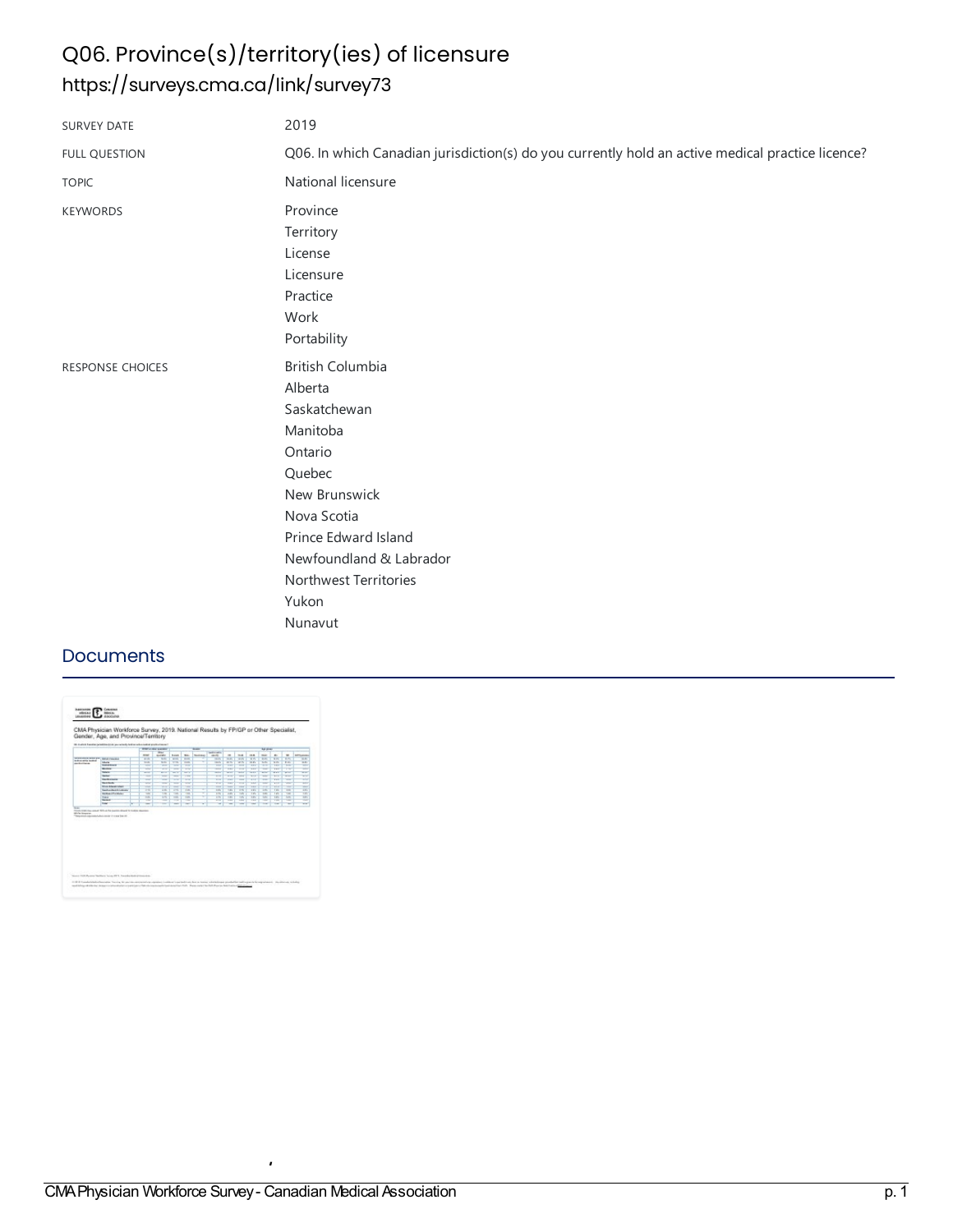# Q06. Province(s)/territory(ies) of licensure <https://surveys.cma.ca/link/survey73>

| <b>SURVEY DATE</b>      | 2019                                                                                                                                                                                                                |
|-------------------------|---------------------------------------------------------------------------------------------------------------------------------------------------------------------------------------------------------------------|
| <b>FULL QUESTION</b>    | Q06. In which Canadian jurisdiction(s) do you currently hold an active medical practice licence?                                                                                                                    |
| <b>TOPIC</b>            | National licensure                                                                                                                                                                                                  |
| <b>KEYWORDS</b>         | Province<br>Territory<br>License<br>Licensure<br>Practice<br>Work<br>Portability                                                                                                                                    |
| <b>RESPONSE CHOICES</b> | <b>British Columbia</b><br>Alberta<br>Saskatchewan<br>Manitoba<br>Ontario<br>Quebec<br>New Brunswick<br>Nova Scotia<br>Prince Edward Island<br>Newfoundland & Labrador<br>Northwest Territories<br>Yukon<br>Nunavut |

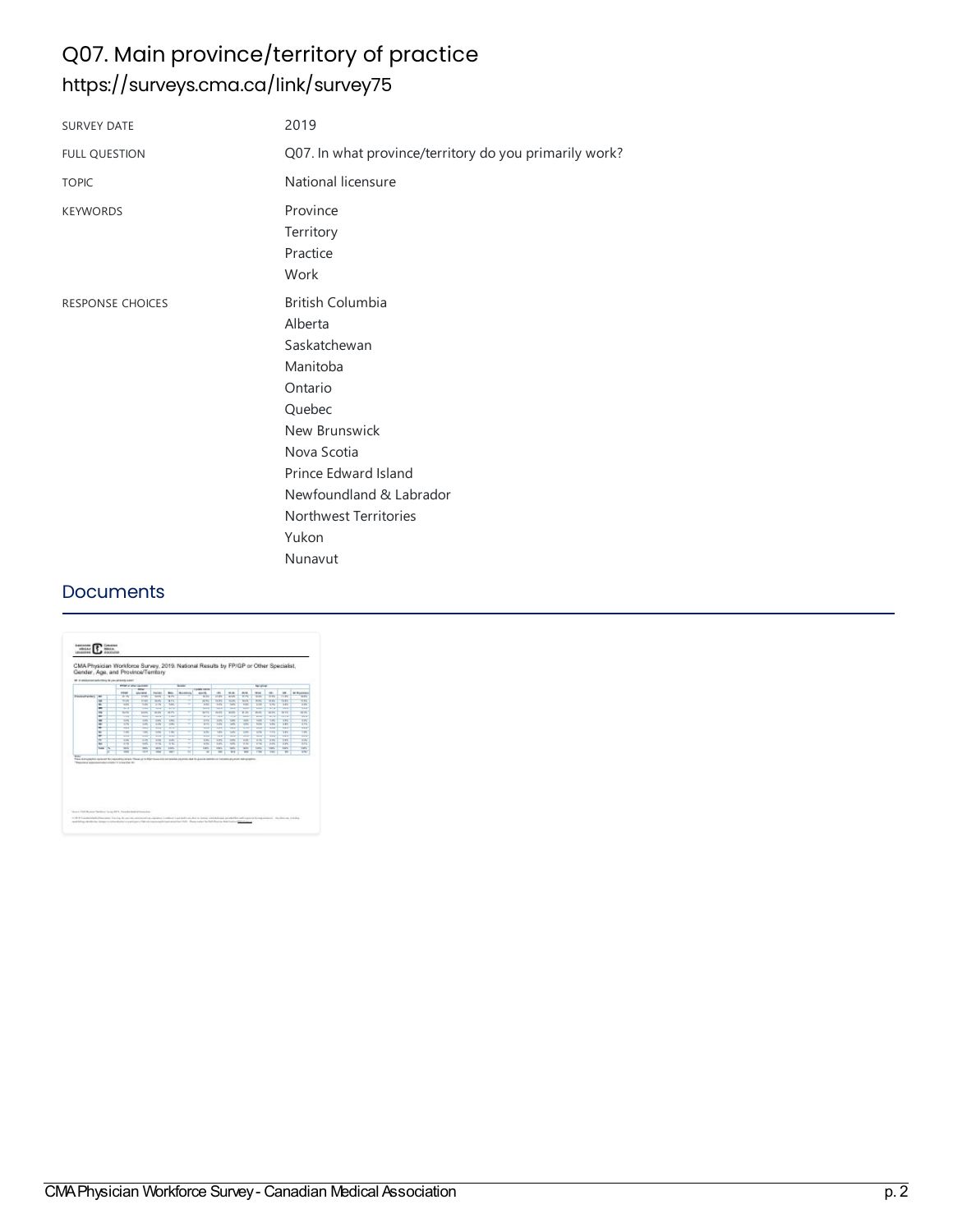## Q07. Main province/territory of practice <https://surveys.cma.ca/link/survey75>

| <b>SURVEY DATE</b>      | 2019                                                                                                                                                                                                                |
|-------------------------|---------------------------------------------------------------------------------------------------------------------------------------------------------------------------------------------------------------------|
| <b>FULL QUESTION</b>    | Q07. In what province/territory do you primarily work?                                                                                                                                                              |
| <b>TOPIC</b>            | National licensure                                                                                                                                                                                                  |
| <b>KEYWORDS</b>         | Province<br>Territory<br>Practice<br>Work                                                                                                                                                                           |
| <b>RESPONSE CHOICES</b> | <b>British Columbia</b><br>Alberta<br>Saskatchewan<br>Manitoba<br>Ontario<br>Quebec<br>New Brunswick<br>Nova Scotia<br>Prince Edward Island<br>Newfoundland & Labrador<br>Northwest Territories<br>Yukon<br>Nunavut |

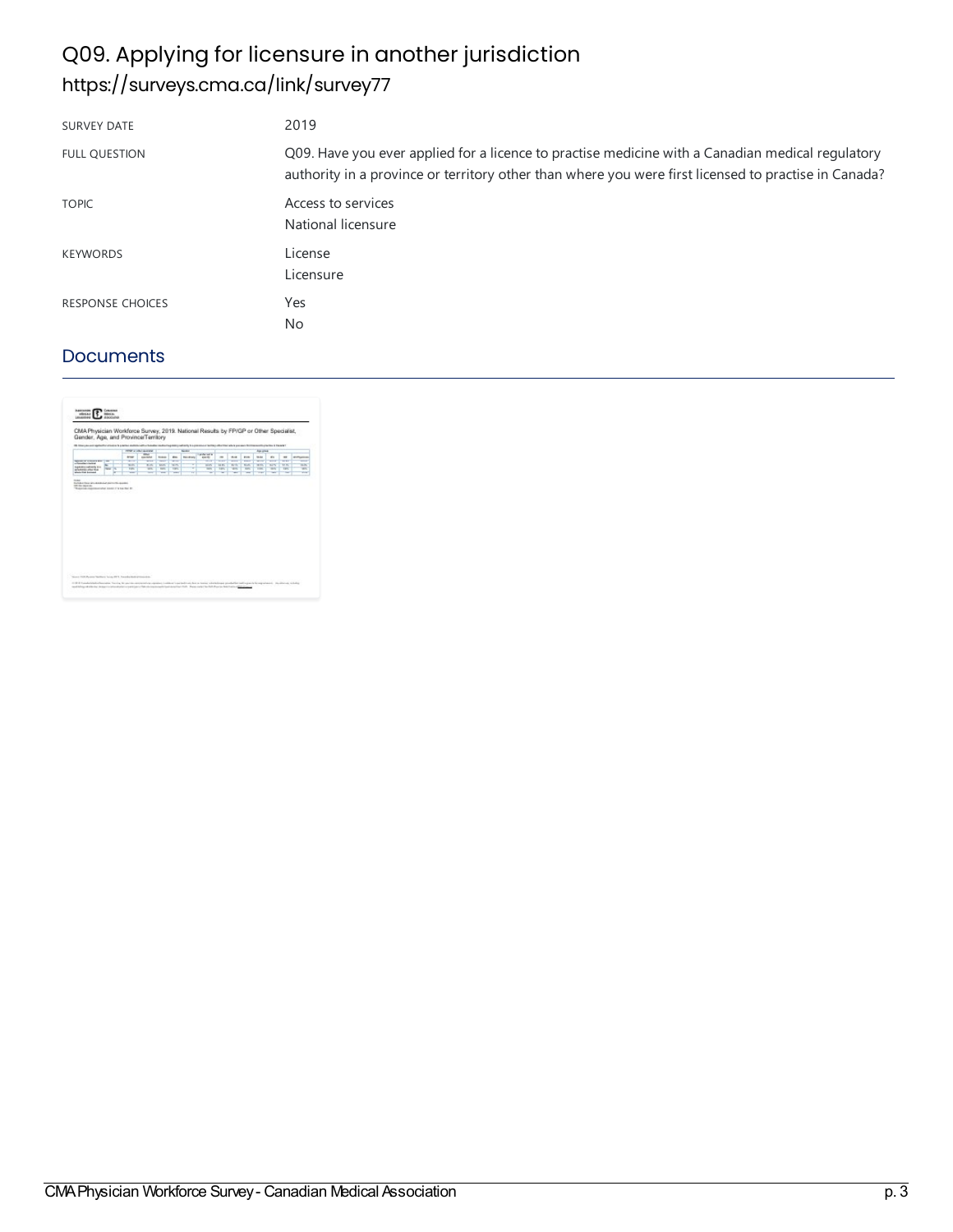## Q09. Applying for licensure in another jurisdiction <https://surveys.cma.ca/link/survey77>

| <b>SURVEY DATE</b>      | 2019                                                                                                                                                                                                     |
|-------------------------|----------------------------------------------------------------------------------------------------------------------------------------------------------------------------------------------------------|
| <b>FULL OUESTION</b>    | Q09. Have you ever applied for a licence to practise medicine with a Canadian medical regulatory<br>authority in a province or territory other than where you were first licensed to practise in Canada? |
| <b>TOPIC</b>            | Access to services<br>National licensure                                                                                                                                                                 |
| <b>KEYWORDS</b>         | License<br>Licensure                                                                                                                                                                                     |
| <b>RESPONSE CHOICES</b> | Yes<br><b>No</b>                                                                                                                                                                                         |

| 55 Status Avenue Modello Classica N.A.Willia Additional Confederation of Additional Constitution of Activities of Million Advertised Activities and Activities of Company of Activities |             |   |                                                    |                            |                                  |                          |                    |                    |                        |             |                          |                  |                              |                            |                        |
|-----------------------------------------------------------------------------------------------------------------------------------------------------------------------------------------|-------------|---|----------------------------------------------------|----------------------------|----------------------------------|--------------------------|--------------------|--------------------|------------------------|-------------|--------------------------|------------------|------------------------------|----------------------------|------------------------|
|                                                                                                                                                                                         |             |   | <b>COMPANY</b> or collect an animate<br><b>ice</b> |                            | <b>Service</b><br>Lander and Ar- |                          |                    | Aproved            |                        |             |                          |                  |                              |                            |                        |
|                                                                                                                                                                                         |             |   | <b>Array</b>                                       | <b>KINDING</b>             | <b>Sider</b>                     | m.                       | <b>Talk Allane</b> | <b>GALLEY</b>      | $\sim$                 | <b>MAGE</b> | <b>PER</b>               | 16.64            | <b>PH</b>                    | $\rightarrow$              | <b><i>RITUATER</i></b> |
| <b>Reference for Security Print</b><br>Literaturnship                                                                                                                                   | THE         |   | <b>ALC UNIT</b><br>W                               | <b>SOLU</b><br><b>WORK</b> | w<br><b>BOX</b>                  | <b>SCO</b><br><b>SOF</b> | ÷                  | win<br><b>Wind</b> | <b>SING</b><br>Tal Mit | m<br>K.V    | <b>WIN</b><br><b>KLA</b> | ww<br><b>WAY</b> | <b>Winter</b><br><b>King</b> | <b>STAR</b><br><b>KITA</b> | <b>Service</b><br>350  |
| <b>Subdivision Prints II</b> &<br>pleasance after the                                                                                                                                   | <b>Note</b> | × | <b>Tal</b>                                         | w                          | <b>TOP</b>                       | <b>Tark</b>              | v                  | w                  | Tark                   | <b>SK</b>   | <b>Karl</b>              | <b>TIM</b>       | w.                           | <b>Tary</b>                | $\frac{1}{2}$          |
| <b>Aftern from fourmeed</b>                                                                                                                                                             |             |   | win                                                | -                          | <b>Since</b>                     | w                        | w                  | ÷                  | w                      | -           | ÷                        | <b>TEN</b>       | <b>Service</b>               | w                          | <b>VIII</b>            |
|                                                                                                                                                                                         |             |   |                                                    |                            |                                  |                          |                    |                    |                        |             |                          |                  |                              |                            |                        |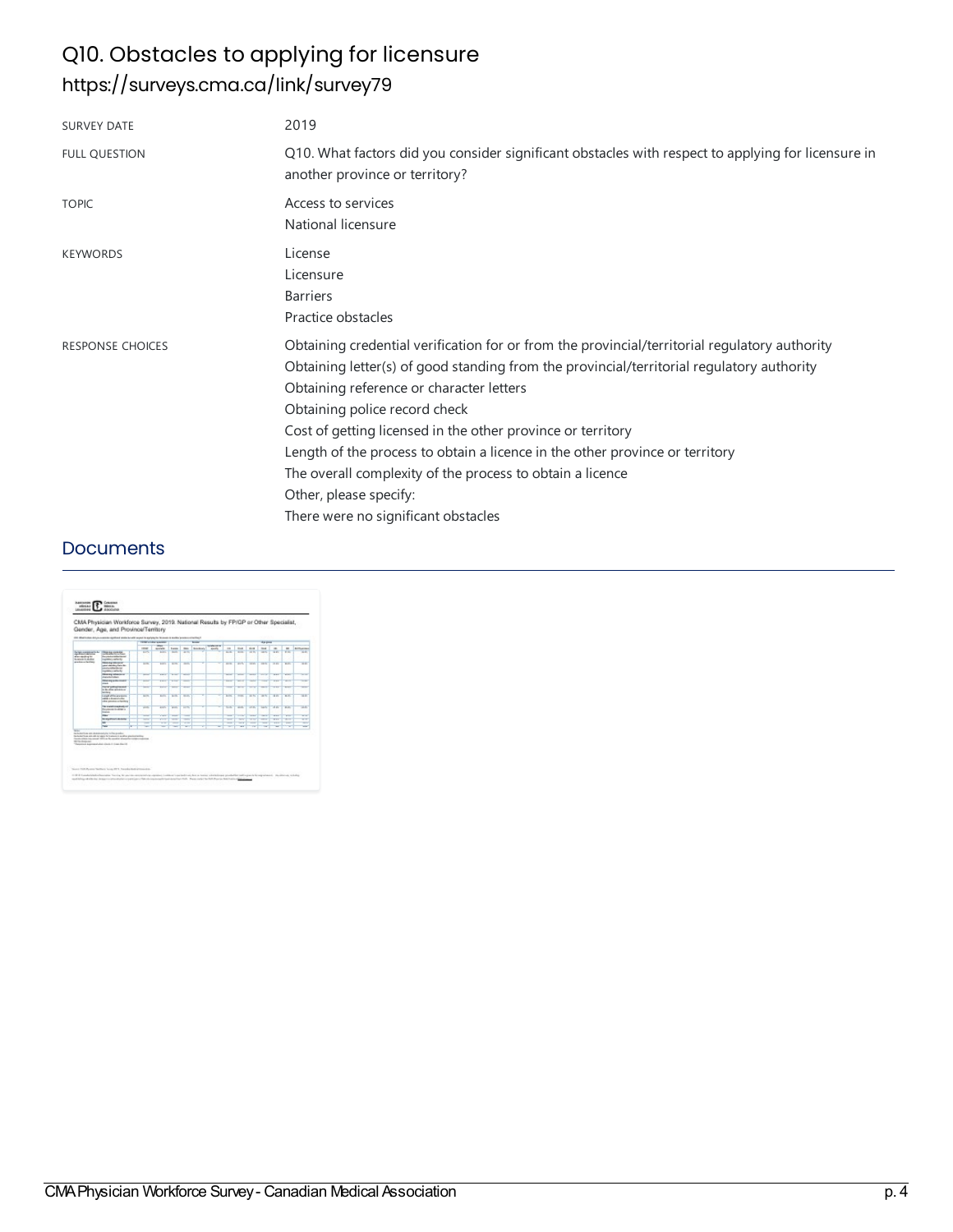## Q10. Obstacles to applying for licensure <https://surveys.cma.ca/link/survey79>

| <b>SURVEY DATE</b>      | 2019                                                                                                                                                                                                                                                                                                                                                                                                                                                                                                                                                 |
|-------------------------|------------------------------------------------------------------------------------------------------------------------------------------------------------------------------------------------------------------------------------------------------------------------------------------------------------------------------------------------------------------------------------------------------------------------------------------------------------------------------------------------------------------------------------------------------|
| <b>FULL QUESTION</b>    | Q10. What factors did you consider significant obstacles with respect to applying for licensure in<br>another province or territory?                                                                                                                                                                                                                                                                                                                                                                                                                 |
| <b>TOPIC</b>            | Access to services<br>National licensure                                                                                                                                                                                                                                                                                                                                                                                                                                                                                                             |
| <b>KEYWORDS</b>         | License<br>Licensure<br><b>Barriers</b><br>Practice obstacles                                                                                                                                                                                                                                                                                                                                                                                                                                                                                        |
| <b>RESPONSE CHOICES</b> | Obtaining credential verification for or from the provincial/territorial regulatory authority<br>Obtaining letter(s) of good standing from the provincial/territorial regulatory authority<br>Obtaining reference or character letters<br>Obtaining police record check<br>Cost of getting licensed in the other province or territory<br>Length of the process to obtain a licence in the other province or territory<br>The overall complexity of the process to obtain a licence<br>Other, please specify:<br>There were no significant obstacles |

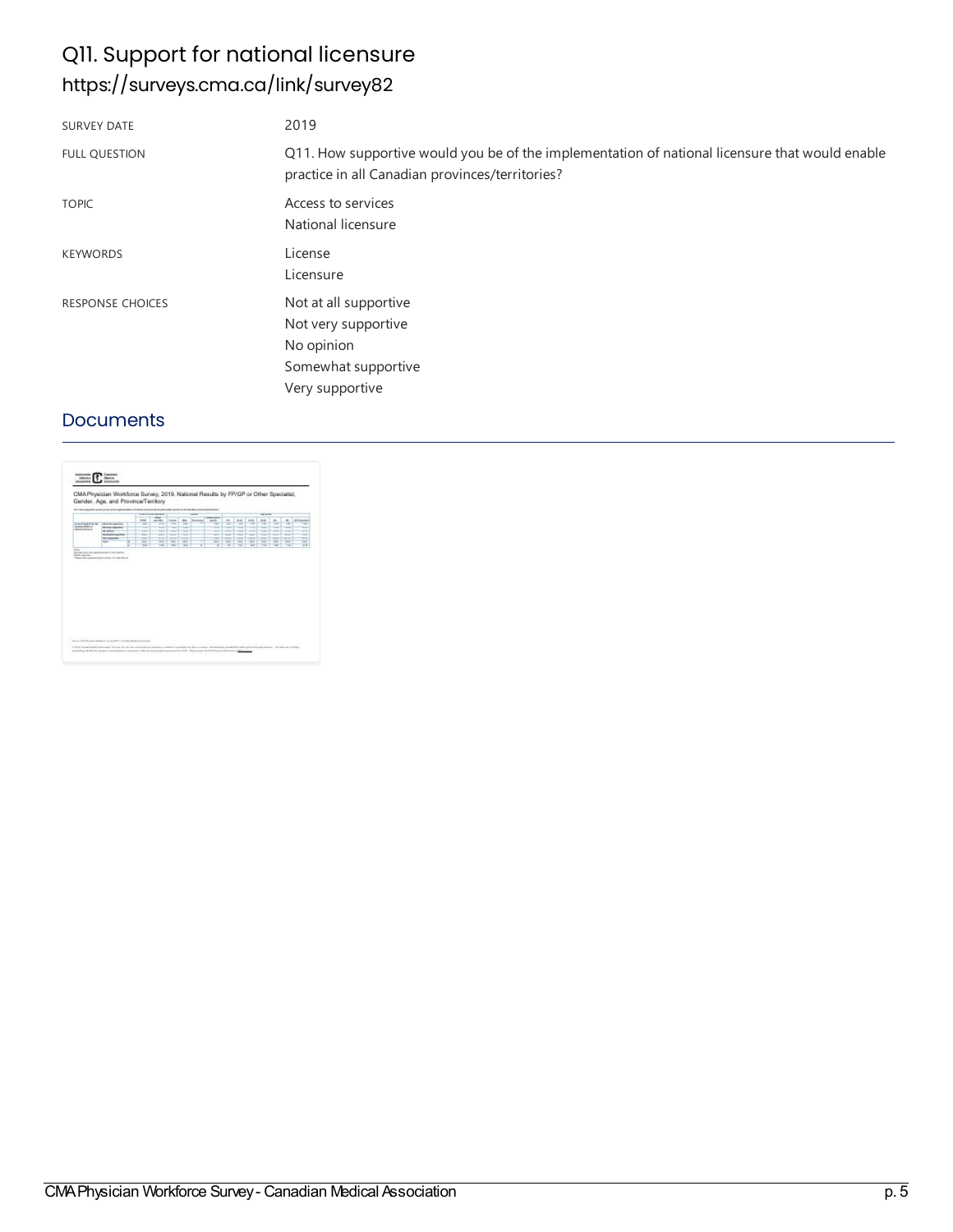### Q11. Support for national licensure <https://surveys.cma.ca/link/survey82>

| <b>SURVEY DATE</b>      | 2019                                                                                                                                              |
|-------------------------|---------------------------------------------------------------------------------------------------------------------------------------------------|
| <b>FULL QUESTION</b>    | Q11. How supportive would you be of the implementation of national licensure that would enable<br>practice in all Canadian provinces/territories? |
| <b>TOPIC</b>            | Access to services<br>National licensure                                                                                                          |
| <b>KEYWORDS</b>         | License<br>Licensure                                                                                                                              |
| <b>RESPONSE CHOICES</b> | Not at all supportive<br>Not very supportive<br>No opinion<br>Somewhat supportive<br>Very supportive                                              |

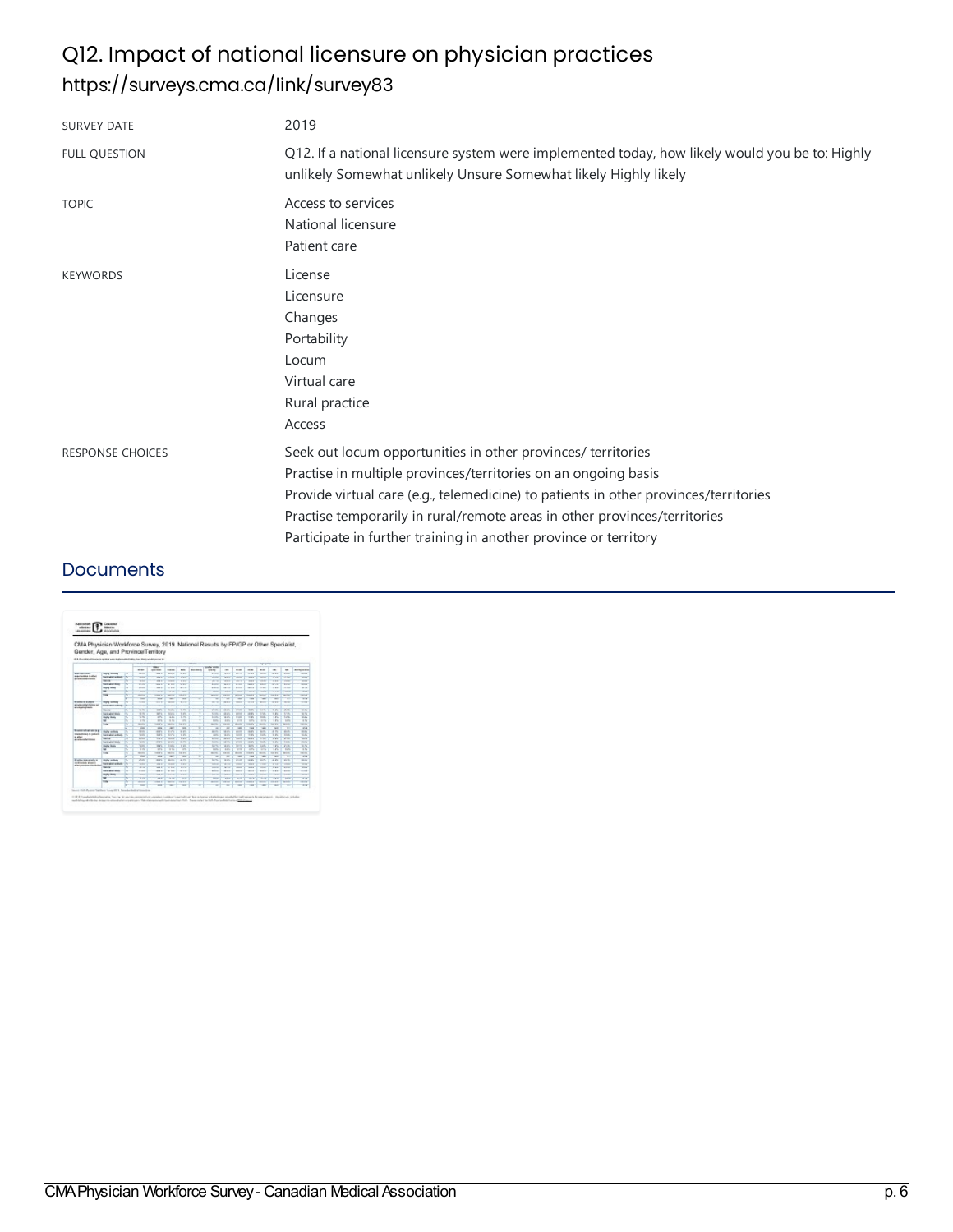## Q12. Impact of national licensure on physician practices <https://surveys.cma.ca/link/survey83>

| <b>SURVEY DATE</b>      | 2019                                                                                                                                                                                                                                                                                                                                                                    |
|-------------------------|-------------------------------------------------------------------------------------------------------------------------------------------------------------------------------------------------------------------------------------------------------------------------------------------------------------------------------------------------------------------------|
| <b>FULL QUESTION</b>    | Q12. If a national licensure system were implemented today, how likely would you be to: Highly<br>unlikely Somewhat unlikely Unsure Somewhat likely Highly likely                                                                                                                                                                                                       |
| <b>TOPIC</b>            | Access to services<br>National licensure<br>Patient care                                                                                                                                                                                                                                                                                                                |
| <b>KEYWORDS</b>         | License<br>Licensure<br>Changes<br>Portability<br>Locum<br>Virtual care<br>Rural practice<br>Access                                                                                                                                                                                                                                                                     |
| <b>RESPONSE CHOICES</b> | Seek out locum opportunities in other provinces/ territories<br>Practise in multiple provinces/territories on an ongoing basis<br>Provide virtual care (e.g., telemedicine) to patients in other provinces/territories<br>Practise temporarily in rural/remote areas in other provinces/territories<br>Participate in further training in another province or territory |